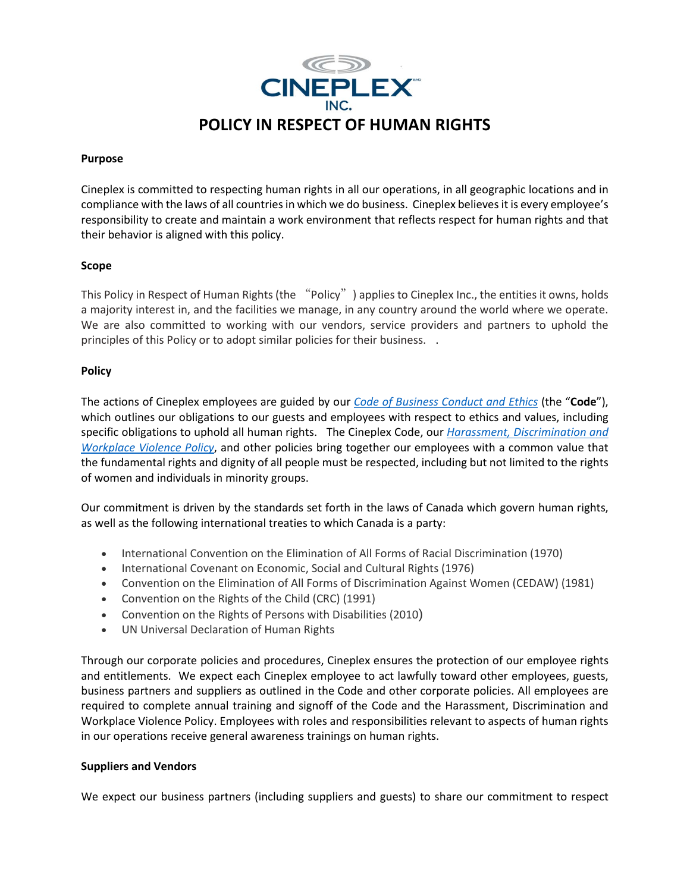

# **Purpose**

Cineplex is committed to respecting human rights in all our operations, in all geographic locations and in compliance with the laws of all countries in which we do business. Cineplex believes it is every employee's responsibility to create and maintain a work environment that reflects respect for human rights and that their behavior is aligned with this policy.

# **Scope**

This Policy in Respect of Human Rights (the "Policy") applies to Cineplex Inc., the entities it owns, holds a majority interest in, and the facilities we manage, in any country around the world where we operate. We are also committed to working with our vendors, service providers and partners to uphold the principles of this Policy or to adopt similar policies for their business. .

# **Policy**

The actions of Cineplex employees are guided by our *[Code of Business Conduct](http://central.cineplex.com/teams/Purchasing/_layouts/15/WopiFrame.aspx?sourcedoc=/teams/Purchasing/Department%20Policies/Cineplex_Supplier_Code%20of%20Conduct%20(Feb%202019).EN.pdf&action=default) [and Ethics](http://central.cineplex.com/teams/Purchasing/_layouts/15/WopiFrame.aspx?sourcedoc=/teams/Purchasing/Department%20Policies/Cineplex_Supplier_Code%20of%20Conduct%20(Feb%202019).EN.pdf&action=default)* (the "**Code**"), which outlines our obligations to our guests and employees with respect to ethics and values, including specific obligations to uphold all human rights. The Cineplex Code, our *[Harassment, Discrimination and](http://central.cineplex.com/teams/HealthSafety/_layouts/15/WopiFrame.aspx?sourcedoc=/teams/HealthSafety/Policies/Harassment%20Discrimination%20%20Workplace%20Violence%20Policy%20-%202019.pdf&action=default)  [Workplace Violence](http://central.cineplex.com/teams/HealthSafety/_layouts/15/WopiFrame.aspx?sourcedoc=/teams/HealthSafety/Policies/Harassment%20Discrimination%20%20Workplace%20Violence%20Policy%20-%202019.pdf&action=default) Policy*, and other policies bring together our employees with a common value that the fundamental rights and dignity of all people must be respected, including but not limited to the rights of women and individuals in minority groups.

Our commitment is driven by the standards set forth in the laws of Canada which govern human rights, as well as the following international treaties to which Canada is a party:

- International Convention on the Elimination of All Forms of Racial Discrimination (1970)
- International Covenant on Economic, Social and Cultural Rights (1976)
- Convention on the Elimination of All Forms of Discrimination Against Women (CEDAW) (1981)
- Convention on the Rights of the Child (CRC) (1991)
- Convention on the Rights of Persons with Disabilities (2010)
- UN Universal Declaration of Human Rights

Through our corporate policies and procedures, Cineplex ensures the protection of our employee rights and entitlements. We expect each Cineplex employee to act lawfully toward other employees, guests, business partners and suppliers as outlined in the Code and other corporate policies. All employees are required to complete annual training and signoff of the Code and the Harassment, Discrimination and Workplace Violence Policy. Employees with roles and responsibilities relevant to aspects of human rights in our operations receive general awareness trainings on human rights.

## **Suppliers and Vendors**

We expect our business partners (including suppliers and guests) to share our commitment to respect